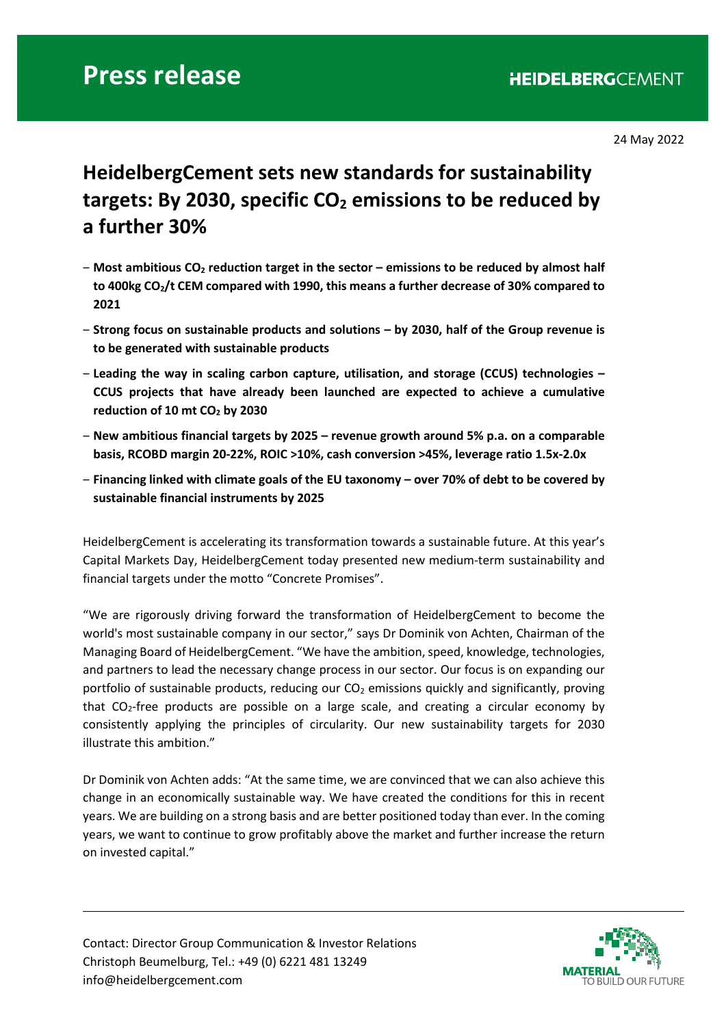24 May 2022

## **HeidelbergCement sets new standards for sustainability**  targets: By 2030, specific CO<sub>2</sub> emissions to be reduced by **a further 30%**

- ‒ **Most ambitious CO2 reduction target in the sector – emissions to be reduced by almost half to 400kg CO2/t CEM compared with 1990, this means a further decrease of 30% compared to 2021**
- ‒ **Strong focus on sustainable products and solutions – by 2030, half of the Group revenue is to be generated with sustainable products**
- ‒ **Leading the way in scaling carbon capture, utilisation, and storage (CCUS) technologies – CCUS projects that have already been launched are expected to achieve a cumulative reduction of 10 mt CO2 by 2030**
- ‒ **New ambitious financial targets by 2025 – revenue growth around 5% p.a. on a comparable basis, RCOBD margin 20-22%, ROIC >10%, cash conversion >45%, leverage ratio 1.5x-2.0x**
- ‒ **Financing linked with climate goals of the EU taxonomy – over 70% of debt to be covered by sustainable financial instruments by 2025**

HeidelbergCement is accelerating its transformation towards a sustainable future. At this year's Capital Markets Day, HeidelbergCement today presented new medium-term sustainability and financial targets under the motto "Concrete Promises".

"We are rigorously driving forward the transformation of HeidelbergCement to become the world's most sustainable company in our sector," says Dr Dominik von Achten, Chairman of the Managing Board of HeidelbergCement. "We have the ambition, speed, knowledge, technologies, and partners to lead the necessary change process in our sector. Our focus is on expanding our portfolio of sustainable products, reducing our  $CO<sub>2</sub>$  emissions quickly and significantly, proving that  $CO<sub>2</sub>$ -free products are possible on a large scale, and creating a circular economy by consistently applying the principles of circularity. Our new sustainability targets for 2030 illustrate this ambition."

Dr Dominik von Achten adds: "At the same time, we are convinced that we can also achieve this change in an economically sustainable way. We have created the conditions for this in recent years. We are building on a strong basis and are better positioned today than ever. In the coming years, we want to continue to grow profitably above the market and further increase the return on invested capital."

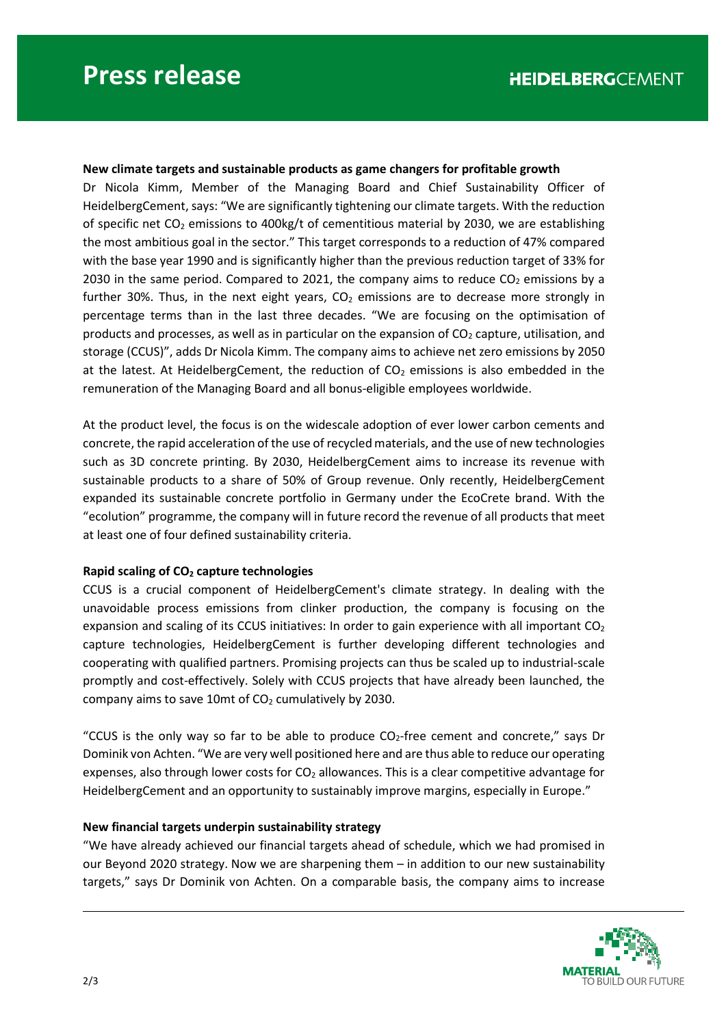## **New climate targets and sustainable products as game changers for profitable growth**

Dr Nicola Kimm, Member of the Managing Board and Chief Sustainability Officer of HeidelbergCement, says: "We are significantly tightening our climate targets. With the reduction of specific net  $CO<sub>2</sub>$  emissions to 400kg/t of cementitious material by 2030, we are establishing the most ambitious goal in the sector." This target corresponds to a reduction of 47% compared with the base year 1990 and is significantly higher than the previous reduction target of 33% for 2030 in the same period. Compared to 2021, the company aims to reduce  $CO<sub>2</sub>$  emissions by a further 30%. Thus, in the next eight years,  $CO<sub>2</sub>$  emissions are to decrease more strongly in percentage terms than in the last three decades. "We are focusing on the optimisation of products and processes, as well as in particular on the expansion of  $CO<sub>2</sub>$  capture, utilisation, and storage (CCUS)", adds Dr Nicola Kimm. The company aims to achieve net zero emissions by 2050 at the latest. At HeidelbergCement, the reduction of  $CO<sub>2</sub>$  emissions is also embedded in the remuneration of the Managing Board and all bonus-eligible employees worldwide.

At the product level, the focus is on the widescale adoption of ever lower carbon cements and concrete, the rapid acceleration of the use of recycled materials, and the use of new technologies such as 3D concrete printing. By 2030, HeidelbergCement aims to increase its revenue with sustainable products to a share of 50% of Group revenue. Only recently, HeidelbergCement expanded its sustainable concrete portfolio in Germany under the EcoCrete brand. With the "ecolution" programme, the company will in future record the revenue of all products that meet at least one of four defined sustainability criteria.

## **Rapid scaling of CO2 capture technologies**

CCUS is a crucial component of HeidelbergCement's climate strategy. In dealing with the unavoidable process emissions from clinker production, the company is focusing on the expansion and scaling of its CCUS initiatives: In order to gain experience with all important  $CO<sub>2</sub>$ capture technologies, HeidelbergCement is further developing different technologies and cooperating with qualified partners. Promising projects can thus be scaled up to industrial-scale promptly and cost-effectively. Solely with CCUS projects that have already been launched, the company aims to save 10mt of  $CO<sub>2</sub>$  cumulatively by 2030.

"CCUS is the only way so far to be able to produce  $CO<sub>2</sub>$ -free cement and concrete," says Dr Dominik von Achten. "We are very well positioned here and are thus able to reduce our operating expenses, also through lower costs for  $CO<sub>2</sub>$  allowances. This is a clear competitive advantage for HeidelbergCement and an opportunity to sustainably improve margins, especially in Europe."

## **New financial targets underpin sustainability strategy**

"We have already achieved our financial targets ahead of schedule, which we had promised in our Beyond 2020 strategy. Now we are sharpening them – in addition to our new sustainability targets," says Dr Dominik von Achten. On a comparable basis, the company aims to increase